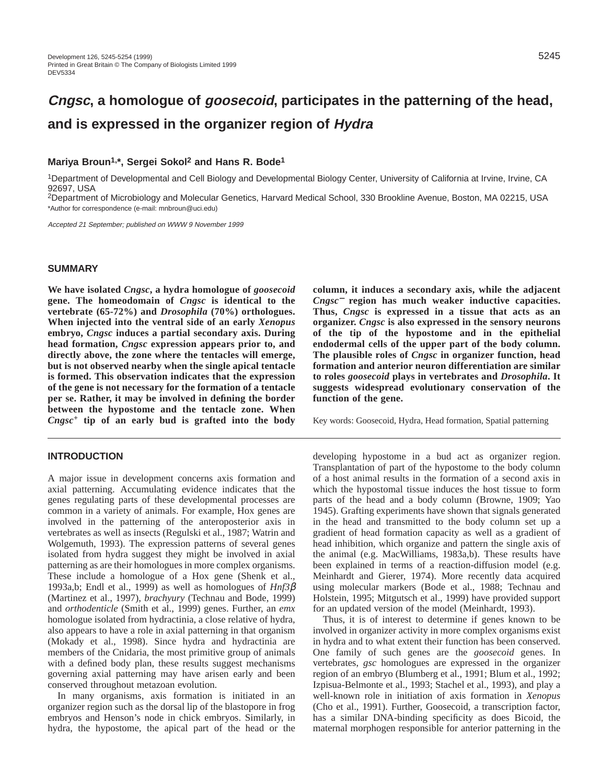# **Cngsc, a homologue of goosecoid, participates in the patterning of the head, and is expressed in the organizer region of Hydra**

# **Mariya Broun1,\*, Sergei Sokol2 and Hans R. Bode1**

1Department of Developmental and Cell Biology and Developmental Biology Center, University of California at Irvine, Irvine, CA 92697, USA

2Department of Microbiology and Molecular Genetics, Harvard Medical School, 330 Brookline Avenue, Boston, MA 02215, USA \*Author for correspondence (e-mail: mnbroun@uci.edu)

Accepted 21 September; published on WWW 9 November 1999

#### **SUMMARY**

**We have isolated** *Cngsc***, a hydra homologue of** *goosecoid* **gene. The homeodomain of** *Cngsc* **is identical to the vertebrate (65-72%) and** *Drosophila* **(70%) orthologues. When injected into the ventral side of an early** *Xenopus* **embryo,** *Cngsc* **induces a partial secondary axis. During head formation,** *Cngsc* **expression appears prior to, and directly above, the zone where the tentacles will emerge, but is not observed nearby when the single apical tentacle is formed. This observation indicates that the expression of the gene is not necessary for the formation of a tentacle per se. Rather, it may be involved in defining the border between the hypostome and the tentacle zone. When** *Cngsc***<sup>+</sup> tip of an early bud is grafted into the body**

# **INTRODUCTION**

A major issue in development concerns axis formation and axial patterning. Accumulating evidence indicates that the genes regulating parts of these developmental processes are common in a variety of animals. For example, Hox genes are involved in the patterning of the anteroposterior axis in vertebrates as well as insects (Regulski et al., 1987; Watrin and Wolgemuth, 1993). The expression patterns of several genes isolated from hydra suggest they might be involved in axial patterning as are their homologues in more complex organisms. These include a homologue of a Hox gene (Shenk et al., 1993a,b; Endl et al., 1999) as well as homologues of *Hnf3*β (Martinez et al., 1997), *brachyury* (Technau and Bode, 1999) and *orthodenticle* (Smith et al., 1999) genes. Further, an *emx* homologue isolated from hydractinia, a close relative of hydra, also appears to have a role in axial patterning in that organism (Mokady et al., 1998). Since hydra and hydractinia are members of the Cnidaria, the most primitive group of animals with a defined body plan, these results suggest mechanisms governing axial patterning may have arisen early and been conserved throughout metazoan evolution.

In many organisms, axis formation is initiated in an organizer region such as the dorsal lip of the blastopore in frog embryos and Henson's node in chick embryos. Similarly, in hydra, the hypostome, the apical part of the head or the **column, it induces a secondary axis, while the adjacent** *Cngsc*<sup>−</sup> **region has much weaker inductive capacities. Thus,** *Cngsc* **is expressed in a tissue that acts as an organizer.** *Cngsc* **is also expressed in the sensory neurons of the tip of the hypostome and in the epithelial endodermal cells of the upper part of the body column. The plausible roles of** *Cngsc* **in organizer function, head formation and anterior neuron differentiation are similar to roles** *goosecoid* **plays in vertebrates and** *Drosophila***. It suggests widespread evolutionary conservation of the function of the gene.** 

Key words: Goosecoid, Hydra, Head formation, Spatial patterning

developing hypostome in a bud act as organizer region. Transplantation of part of the hypostome to the body column of a host animal results in the formation of a second axis in which the hypostomal tissue induces the host tissue to form parts of the head and a body column (Browne, 1909; Yao 1945). Grafting experiments have shown that signals generated in the head and transmitted to the body column set up a gradient of head formation capacity as well as a gradient of head inhibition, which organize and pattern the single axis of the animal (e.g. MacWilliams, 1983a,b). These results have been explained in terms of a reaction-diffusion model (e.g. Meinhardt and Gierer, 1974). More recently data acquired using molecular markers (Bode et al., 1988; Technau and Holstein, 1995; Mitgutsch et al., 1999) have provided support for an updated version of the model (Meinhardt, 1993).

Thus, it is of interest to determine if genes known to be involved in organizer activity in more complex organisms exist in hydra and to what extent their function has been conserved. One family of such genes are the *goosecoid* genes. In vertebrates, *gsc* homologues are expressed in the organizer region of an embryo (Blumberg et al., 1991; Blum et al., 1992; Izpisua-Belmonte et al., 1993; Stachel et al., 1993), and play a well-known role in initiation of axis formation in *Xenopus* (Cho et al., 1991). Further, Goosecoid, a transcription factor, has a similar DNA-binding specificity as does Bicoid, the maternal morphogen responsible for anterior patterning in the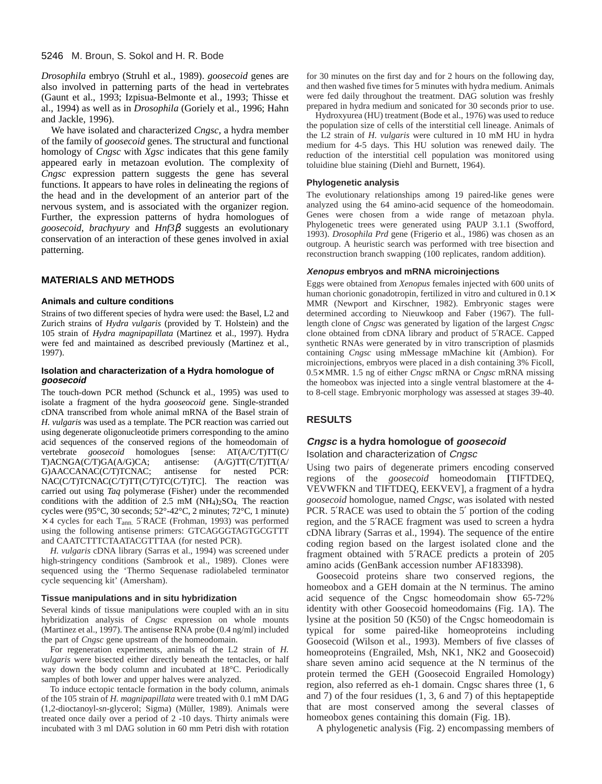*Drosophila* embryo (Struhl et al., 1989). *goosecoid* genes are also involved in patterning parts of the head in vertebrates (Gaunt et al., 1993; Izpisua-Belmonte et al., 1993; Thisse et al., 1994) as well as in *Drosophila* (Goriely et al., 1996; Hahn and Jackle, 1996).

We have isolated and characterized *Cngsc*, a hydra member of the family of *goosecoid* genes. The structural and functional homology of *Cngsc* with *Xgsc* indicates that this gene family appeared early in metazoan evolution. The complexity of *Cngsc* expression pattern suggests the gene has several functions. It appears to have roles in delineating the regions of the head and in the development of an anterior part of the nervous system, and is associated with the organizer region. Further, the expression patterns of hydra homologues of *goosecoid*, *brachyury* and *Hnf3*β suggests an evolutionary conservation of an interaction of these genes involved in axial patterning.

# **MATERIALS AND METHODS**

#### **Animals and culture conditions**

Strains of two different species of hydra were used: the Basel, L2 and Zurich strains of *Hydra vulgaris* (provided by T. Holstein) and the 105 strain of *Hydra magnipapillata* (Martinez et al., 1997). Hydra were fed and maintained as described previously (Martinez et al., 1997).

#### **Isolation and characterization of a Hydra homologue of goosecoid**

The touch-down PCR method (Schunck et al., 1995) was used to isolate a fragment of the hydra *gooseocoid* gene. Single-stranded cDNA transcribed from whole animal mRNA of the Basel strain of *H. vulgaris* was used as a template. The PCR reaction was carried out using degenerate oligonucleotide primers corresponding to the amino acid sequences of the conserved regions of the homeodomain of vertebrate *goosecoid* homologues [sense: AT(A/C/T)TT(C/ T)ACNGA(C/T)GA(A/G)CA; antisense: (A/G)TT(C/T)TT(A/ G)AACCANAC(C/T)TCNAC; antisense for nested PCR: NAC(C/T)TCNAC(C/T)TT(C/T)TC(C/T)TC]. The reaction was carried out using *Taq* polymerase (Fisher) under the recommended conditions with the addition of  $2.5 \text{ mM}$  (NH<sub>4</sub>)<sub>2</sub>SO<sub>4</sub>. The reaction cycles were (95°C, 30 seconds; 52°-42°C, 2 minutes; 72°C, 1 minute)  $\times$  4 cycles for each T<sub>ann.</sub> 5'RACE (Frohman, 1993) was performed using the following antisense primers: GTCAGGGTAGTGCGTTT and CAATCTTTCTAATACGTTTAA (for nested PCR).

*H. vulgaris* cDNA library (Sarras et al., 1994) was screened under high-stringency conditions (Sambrook et al., 1989). Clones were sequenced using the 'Thermo Sequenase radiolabeled terminator cycle sequencing kit' (Amersham).

#### **Tissue manipulations and in situ hybridization**

Several kinds of tissue manipulations were coupled with an in situ hybridization analysis of *Cngsc* expression on whole mounts (Martinez et al., 1997). The antisense RNA probe (0.4 ng/ml) included the part of *Cngsc* gene upstream of the homeodomain.

For regeneration experiments, animals of the L2 strain of *H. vulgaris* were bisected either directly beneath the tentacles, or half way down the body column and incubated at 18°C. Periodically samples of both lower and upper halves were analyzed.

To induce ectopic tentacle formation in the body column, animals of the 105 strain of *H. magnipapillata* were treated with 0.1 mM DAG (1,2-dioctanoyl-*sn-*glycerol; Sigma) (Müller, 1989). Animals were treated once daily over a period of 2 -10 days. Thirty animals were incubated with 3 ml DAG solution in 60 mm Petri dish with rotation

for 30 minutes on the first day and for 2 hours on the following day, and then washed five times for 5 minutes with hydra medium. Animals were fed daily throughout the treatment. DAG solution was freshly prepared in hydra medium and sonicated for 30 seconds prior to use.

Hydroxyurea (HU) treatment (Bode et al., 1976) was used to reduce the population size of cells of the interstitial cell lineage. Animals of the L2 strain of *H. vulgaris* were cultured in 10 mM HU in hydra medium for 4-5 days. This HU solution was renewed daily. The reduction of the interstitial cell population was monitored using toluidine blue staining (Diehl and Burnett, 1964).

### **Phylogenetic analysis**

The evolutionary relationships among 19 paired-like genes were analyzed using the 64 amino-acid sequence of the homeodomain. Genes were chosen from a wide range of metazoan phyla. Phylogenetic trees were generated using PAUP 3.1.1 (Swofford, 1993). *Drosophila Prd* gene (Frigerio et al., 1986) was chosen as an outgroup. A heuristic search was performed with tree bisection and reconstruction branch swapping (100 replicates, random addition).

#### **Xenopus embryos and mRNA microinjections**

Eggs were obtained from *Xenopus* females injected with 600 units of human chorionic gonadotropin, fertilized in vitro and cultured in  $0.1\times$ MMR (Newport and Kirschner, 1982). Embryonic stages were determined according to Nieuwkoop and Faber (1967). The fulllength clone of *Cngsc* was generated by ligation of the largest *Cngsc* clone obtained from cDNA library and product of 5′RACE. Capped synthetic RNAs were generated by in vitro transcription of plasmids containing *Cngsc* using mMessage mMachine kit (Ambion). For microinjections, embryos were placed in a dish containing 3% Ficoll, 0.5× MMR. 1.5 ng of either *Cngsc* mRNA or *Cngsc* mRNA missing the homeobox was injected into a single ventral blastomere at the 4 to 8-cell stage. Embryonic morphology was assessed at stages 39-40.

# **RESULTS**

# **Cngsc is a hydra homologue of goosecoid**

# Isolation and characterization of Cngsc

Using two pairs of degenerate primers encoding conserved regions of the *goosecoid* homeodomain **[**TIFTDEQ, VEVWFKN and TIFTDEQ, EEKVEV], a fragment of a hydra *goosecoid* homologue, named *Cngsc*, was isolated with nested PCR. 5′RACE was used to obtain the 5′ portion of the coding region, and the 5′RACE fragment was used to screen a hydra cDNA library (Sarras et al., 1994). The sequence of the entire coding region based on the largest isolated clone and the fragment obtained with 5′RACE predicts a protein of 205 amino acids (GenBank accession number AF183398).

Goosecoid proteins share two conserved regions, the homeobox and a GEH domain at the N terminus. The amino acid sequence of the Cngsc homeodomain show 65-72% identity with other Goosecoid homeodomains (Fig. 1A). The lysine at the position 50 (K50) of the Cngsc homeodomain is typical for some paired-like homeoproteins including Goosecoid (Wilson et al., 1993). Members of five classes of homeoproteins (Engrailed, Msh, NK1, NK2 and Goosecoid) share seven amino acid sequence at the N terminus of the protein termed the GEH (Goosecoid Engrailed Homology) region, also referred as eh-1 domain. Cngsc shares three (1, 6 and 7) of the four residues (1, 3, 6 and 7) of this heptapeptide that are most conserved among the several classes of homeobox genes containing this domain (Fig. 1B).

A phylogenetic analysis (Fig. 2) encompassing members of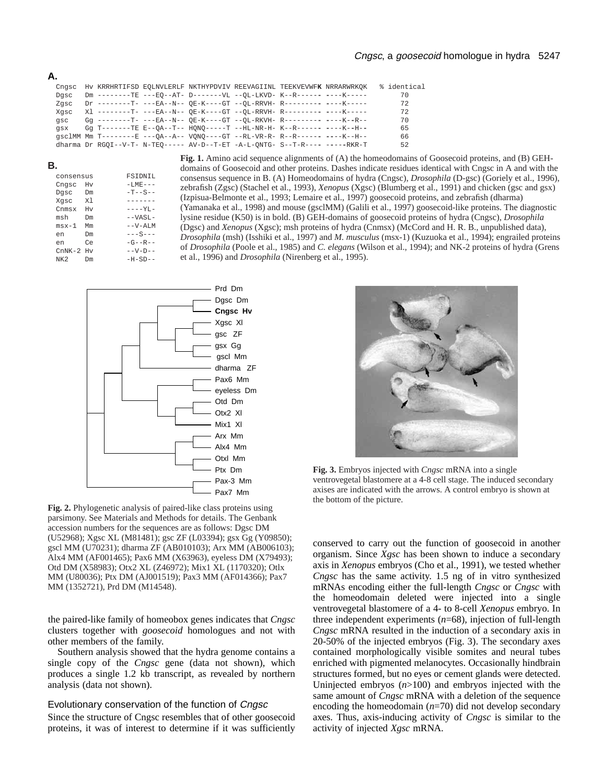| Cnasc |  |                                                                             |  | HV KRRHRTIFSD EQLNVLERLF NKTHYPDVIV REEVAGIINL TEEKVEVWFK NRRARWRKOK | % identical |
|-------|--|-----------------------------------------------------------------------------|--|----------------------------------------------------------------------|-------------|
| Dasc  |  | Dm --------TE ---EO--AT- D-------VL --OL-LKVD- K--R------ ----K-----        |  |                                                                      | 70          |
| Zasc  |  | Dr --------T- ---EA--N-- OE-K----GT --OL-RRVH- R--------- ----K-----        |  |                                                                      | 72          |
| Xasc  |  | X1 --------T- ---EA--N-- OE-K----GT --OL-RRVH- R--------- ----K-----        |  |                                                                      | 72          |
| qsc   |  | Gq --------T- ---EA--N-- OE-K----GT --OL-RKVH- R--------- ----K--R--        |  |                                                                      | 70          |
| asx   |  | Gq T-------TE E--OA--T-- HONO-----T --HL-NR-H- K--R------ ----K--H--        |  |                                                                      | 65          |
|       |  | gsclMM Mm T--------E ---OA--A-- VONO----GT --RL-VR-R- R--R------ ----K--H-- |  |                                                                      | 66          |
|       |  | dharma Dr RGOI--V-T- N-TEO----- AV-D--T-ET -A-L-ONTG- S--T-R---- -----RKR-T |  |                                                                      | 52          |

| I |  |
|---|--|

**A.**

| consensus   |           | <b>FSIDNIL</b>   |
|-------------|-----------|------------------|
| Cngsc Hv    |           | $-I$ , $ME$ $ -$ |
| Dqsc Dm     |           | $-T - S - -$     |
| Xqsc Xl     |           | -------          |
| Cnmsx Hv    |           | $---YL -$        |
| msh         | Dm        | $--VAST$ -       |
| $msx-1$     | Mm        | $--V-AT.M$       |
| en          | <b>Dm</b> | $---S---$        |
| en          | Ce        | $-G - R - -$     |
| $CMNK-2$ Hy |           | $--V-D--$        |
| NK 2.       | Dm        | $-H - SD - -$    |
|             |           |                  |

**Fig. 1.** Amino acid sequence alignments of (A) the homeodomains of Goosecoid proteins, and (B) GEHdomains of Goosecoid and other proteins. Dashes indicate residues identical with Cngsc in A and with the consensus sequence in B. (A) Homeodomains of hydra (Cngsc), *Drosophila* (D-gsc) (Goriely et al., 1996), zebrafish (Zgsc) (Stachel et al., 1993), *Xenopus* (Xgsc) (Blumberg et al., 1991) and chicken (gsc and gsx) (Izpisua-Belmonte et al., 1993; Lemaire et al., 1997) goosecoid proteins, and zebrafish (dharma) (Yamanaka et al., 1998) and mouse (gsclMM) (Galili et al., 1997) goosecoid-like proteins. The diagnostic lysine residue (K50) is in bold. (B) GEH-domains of goosecoid proteins of hydra (Cngsc), *Drosophila* (Dgsc) and *Xenopus* (Xgsc); msh proteins of hydra (Cnmsx) (McCord and H. R. B., unpublished data), *Drosophila* (msh) (Isshiki et al., 1997) and *M. musculus* (msx-1) (Kuzuoka et al., 1994); engrailed proteins of *Drosophila* (Poole et al., 1985) and *C. elegans* (Wilson et al., 1994); and NK-2 proteins of hydra (Grens et al., 1996) and *Drosophila* (Nirenberg et al., 1995).



**Fig. 2.** Phylogenetic analysis of paired-like class proteins using parsimony. See Materials and Methods for details. The Genbank accession numbers for the sequences are as follows: Dgsc DM (U52968); Xgsc XL (M81481); gsc ZF (L03394); gsx Gg (Y09850); gscl MM (U70231); dharma ZF (AB010103); Arx MM (AB006103); Alx4 MM (AF001465); Pax6 MM (X63963), eyeless DM (X79493); Otd DM (X58983); Otx2 XL (Z46972); Mix1 XL (1170320); Otlx MM (U80036); Ptx DM (AJ001519); Pax3 MM (AF014366); Pax7 MM (1352721), Prd DM (M14548).

the paired-like family of homeobox genes indicates that *Cngsc* clusters together with *goosecoid* homologues and not with other members of the family.

Southern analysis showed that the hydra genome contains a single copy of the *Cngsc* gene (data not shown), which produces a single 1.2 kb transcript, as revealed by northern analysis (data not shown).

# Evolutionary conservation of the function of Cngsc

Since the structure of Cngsc resembles that of other goosecoid proteins, it was of interest to determine if it was sufficiently



**Fig. 3.** Embryos injected with *Cngsc* mRNA into a single ventrovegetal blastomere at a 4-8 cell stage. The induced secondary axises are indicated with the arrows. A control embryo is shown at the bottom of the picture.

conserved to carry out the function of goosecoid in another organism. Since *Xgsc* has been shown to induce a secondary axis in *Xenopus* embryos (Cho et al., 1991), we tested whether *Cngsc* has the same activity. 1.5 ng of in vitro synthesized mRNAs encoding either the full-length *Cngsc* or *Cngsc* with the homeodomain deleted were injected into a single ventrovegetal blastomere of a 4- to 8-cell *Xenopus* embryo. In three independent experiments (*n*=68), injection of full-length *Cngsc* mRNA resulted in the induction of a secondary axis in 20-50% of the injected embryos (Fig. 3). The secondary axes contained morphologically visible somites and neural tubes enriched with pigmented melanocytes. Occasionally hindbrain structures formed, but no eyes or cement glands were detected. Uninjected embryos (*n*>100) and embryos injected with the same amount of *Cngsc* mRNA with a deletion of the sequence encoding the homeodomain (*n*=70) did not develop secondary axes. Thus, axis-inducing activity of *Cngsc* is similar to the activity of injected *Xgsc* mRNA.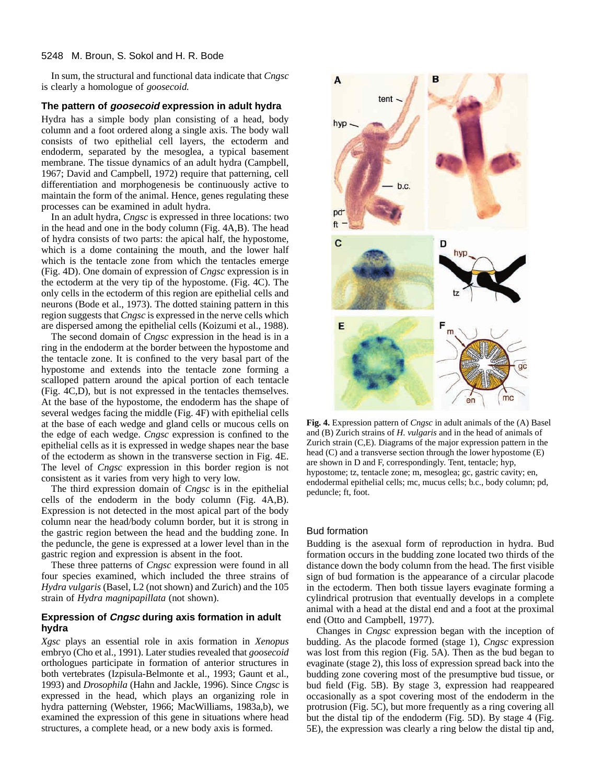#### 5248 M. Broun, S. Sokol and H. R. Bode

In sum, the structural and functional data indicate that *Cngsc* is clearly a homologue of *goosecoid.* 

#### **The pattern of goosecoid expression in adult hydra**

Hydra has a simple body plan consisting of a head, body column and a foot ordered along a single axis. The body wall consists of two epithelial cell layers, the ectoderm and endoderm, separated by the mesoglea, a typical basement membrane. The tissue dynamics of an adult hydra (Campbell, 1967; David and Campbell, 1972) require that patterning, cell differentiation and morphogenesis be continuously active to maintain the form of the animal. Hence, genes regulating these processes can be examined in adult hydra.

In an adult hydra, *Cngsc* is expressed in three locations: two in the head and one in the body column (Fig. 4A,B). The head of hydra consists of two parts: the apical half, the hypostome, which is a dome containing the mouth, and the lower half which is the tentacle zone from which the tentacles emerge (Fig. 4D). One domain of expression of *Cngsc* expression is in the ectoderm at the very tip of the hypostome. (Fig. 4C). The only cells in the ectoderm of this region are epithelial cells and neurons (Bode et al., 1973). The dotted staining pattern in this region suggests that *Cngsc* is expressed in the nerve cells which are dispersed among the epithelial cells (Koizumi et al., 1988).

The second domain of *Cngsc* expression in the head is in a ring in the endoderm at the border between the hypostome and the tentacle zone. It is confined to the very basal part of the hypostome and extends into the tentacle zone forming a scalloped pattern around the apical portion of each tentacle (Fig. 4C,D), but is not expressed in the tentacles themselves. At the base of the hypostome, the endoderm has the shape of several wedges facing the middle (Fig. 4F) with epithelial cells at the base of each wedge and gland cells or mucous cells on the edge of each wedge. *Cngsc* expression is confined to the epithelial cells as it is expressed in wedge shapes near the base of the ectoderm as shown in the transverse section in Fig. 4E. The level of *Cngsc* expression in this border region is not consistent as it varies from very high to very low.

The third expression domain of *Cngsc* is in the epithelial cells of the endoderm in the body column (Fig. 4A,B). Expression is not detected in the most apical part of the body column near the head/body column border, but it is strong in the gastric region between the head and the budding zone. In the peduncle, the gene is expressed at a lower level than in the gastric region and expression is absent in the foot.

These three patterns of *Cngsc* expression were found in all four species examined, which included the three strains of *Hydra vulgaris* (Basel, L2 (not shown) and Zurich) and the 105 strain of *Hydra magnipapillata* (not shown).

# **Expression of Cngsc during axis formation in adult hydra**

*Xgsc* plays an essential role in axis formation in *Xenopus* embryo (Cho et al., 1991). Later studies revealed that *goosecoid* orthologues participate in formation of anterior structures in both vertebrates (Izpisula-Belmonte et al., 1993; Gaunt et al., 1993) and *Drosophila* (Hahn and Jackle, 1996). Since *Cngsc* is expressed in the head, which plays an organizing role in hydra patterning (Webster, 1966; MacWilliams, 1983a,b), we examined the expression of this gene in situations where head structures, a complete head, or a new body axis is formed.



**Fig. 4.** Expression pattern of *Cngsc* in adult animals of the (A) Basel and (B) Zurich strains of *H. vulgaris* and in the head of animals of Zurich strain (C,E). Diagrams of the major expression pattern in the head (C) and a transverse section through the lower hypostome (E) are shown in D and F, correspondingly. Tent, tentacle; hyp, hypostome; tz, tentacle zone; m, mesoglea; gc, gastric cavity; en, endodermal epithelial cells; mc, mucus cells; b.c., body column; pd, peduncle; ft, foot.

#### Bud formation

Budding is the asexual form of reproduction in hydra. Bud formation occurs in the budding zone located two thirds of the distance down the body column from the head. The first visible sign of bud formation is the appearance of a circular placode in the ectoderm. Then both tissue layers evaginate forming a cylindrical protrusion that eventually develops in a complete animal with a head at the distal end and a foot at the proximal end (Otto and Campbell, 1977).

Changes in *Cngsc* expression began with the inception of budding. As the placode formed (stage 1), *Cngsc* expression was lost from this region (Fig. 5A). Then as the bud began to evaginate (stage 2), this loss of expression spread back into the budding zone covering most of the presumptive bud tissue, or bud field (Fig. 5B). By stage 3, expression had reappeared occasionally as a spot covering most of the endoderm in the protrusion (Fig. 5C), but more frequently as a ring covering all but the distal tip of the endoderm (Fig. 5D). By stage 4 (Fig. 5E), the expression was clearly a ring below the distal tip and,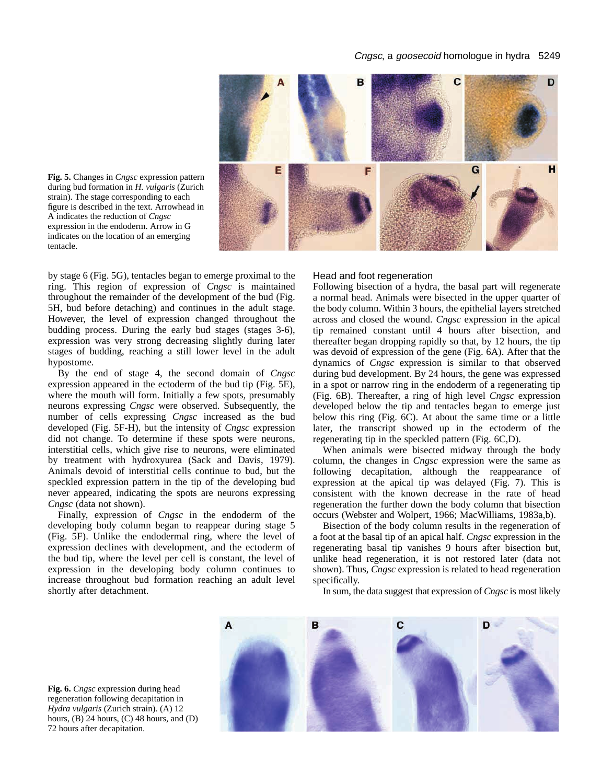#### Cngsc, a goosecoid homologue in hydra 5249



**Fig. 5.** Changes in *Cngsc* expression pattern during bud formation in *H. vulgaris* (Zurich strain). The stage corresponding to each figure is described in the text. Arrowhead in A indicates the reduction of *Cngsc* expression in the endoderm. Arrow in G indicates on the location of an emerging tentacle.

by stage 6 (Fig. 5G), tentacles began to emerge proximal to the ring. This region of expression of *Cngsc* is maintained throughout the remainder of the development of the bud (Fig. 5H, bud before detaching) and continues in the adult stage. However, the level of expression changed throughout the budding process. During the early bud stages (stages 3-6), expression was very strong decreasing slightly during later stages of budding, reaching a still lower level in the adult hypostome.

By the end of stage 4, the second domain of *Cngsc* expression appeared in the ectoderm of the bud tip (Fig. 5E), where the mouth will form. Initially a few spots, presumably neurons expressing *Cngsc* were observed. Subsequently, the number of cells expressing *Cngsc* increased as the bud developed (Fig. 5F-H), but the intensity of *Cngsc* expression did not change. To determine if these spots were neurons, interstitial cells, which give rise to neurons, were eliminated by treatment with hydroxyurea (Sack and Davis, 1979). Animals devoid of interstitial cells continue to bud, but the speckled expression pattern in the tip of the developing bud never appeared, indicating the spots are neurons expressing *Cngsc* (data not shown).

Finally, expression of *Cngsc* in the endoderm of the developing body column began to reappear during stage 5 (Fig. 5F). Unlike the endodermal ring, where the level of expression declines with development, and the ectoderm of the bud tip, where the level per cell is constant, the level of expression in the developing body column continues to increase throughout bud formation reaching an adult level shortly after detachment.

#### Head and foot regeneration

Following bisection of a hydra, the basal part will regenerate a normal head. Animals were bisected in the upper quarter of the body column. Within 3 hours, the epithelial layers stretched across and closed the wound. *Cngsc* expression in the apical tip remained constant until 4 hours after bisection, and thereafter began dropping rapidly so that, by 12 hours, the tip was devoid of expression of the gene (Fig. 6A). After that the dynamics of *Cngsc* expression is similar to that observed during bud development. By 24 hours, the gene was expressed in a spot or narrow ring in the endoderm of a regenerating tip (Fig. 6B). Thereafter, a ring of high level *Cngsc* expression developed below the tip and tentacles began to emerge just below this ring (Fig. 6C). At about the same time or a little later, the transcript showed up in the ectoderm of the regenerating tip in the speckled pattern (Fig. 6C,D).

When animals were bisected midway through the body column, the changes in *Cngsc* expression were the same as following decapitation, although the reappearance of expression at the apical tip was delayed (Fig. 7). This is consistent with the known decrease in the rate of head regeneration the further down the body column that bisection occurs (Webster and Wolpert, 1966; MacWilliams, 1983a,b).

Bisection of the body column results in the regeneration of a foot at the basal tip of an apical half. *Cngsc* expression in the regenerating basal tip vanishes 9 hours after bisection but, unlike head regeneration, it is not restored later (data not shown). Thus, *Cngsc* expression is related to head regeneration specifically.

In sum, the data suggest that expression of *Cngsc* is most likely



**Fig. 6.** *Cngsc* expression during head regeneration following decapitation in *Hydra vulgaris* (Zurich strain). (A) 12 hours, (B) 24 hours, (C) 48 hours, and (D) 72 hours after decapitation.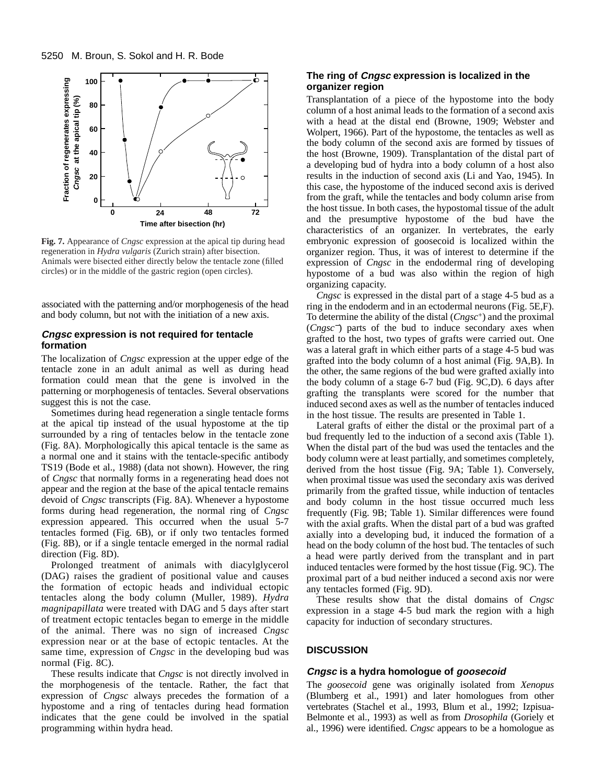

**Fig. 7.** Appearance of *Cngsc* expression at the apical tip during head regeneration in *Hydra vulgaris* (Zurich strain) after bisection. Animals were bisected either directly below the tentacle zone (filled circles) or in the middle of the gastric region (open circles).

associated with the patterning and/or morphogenesis of the head and body column, but not with the initiation of a new axis.

# **Cngsc expression is not required for tentacle formation**

The localization of *Cngsc* expression at the upper edge of the tentacle zone in an adult animal as well as during head formation could mean that the gene is involved in the patterning or morphogenesis of tentacles. Several observations suggest this is not the case.

Sometimes during head regeneration a single tentacle forms at the apical tip instead of the usual hypostome at the tip surrounded by a ring of tentacles below in the tentacle zone (Fig. 8A). Morphologically this apical tentacle is the same as a normal one and it stains with the tentacle-specific antibody TS19 (Bode et al., 1988) (data not shown). However, the ring of *Cngsc* that normally forms in a regenerating head does not appear and the region at the base of the apical tentacle remains devoid of *Cngsc* transcripts (Fig. 8A). Whenever a hypostome forms during head regeneration, the normal ring of *Cngsc* expression appeared. This occurred when the usual 5-7 tentacles formed (Fig. 6B), or if only two tentacles formed (Fig. 8B), or if a single tentacle emerged in the normal radial direction (Fig. 8D).

Prolonged treatment of animals with diacylglycerol (DAG) raises the gradient of positional value and causes the formation of ectopic heads and individual ectopic tentacles along the body column (Muller, 1989). *Hydra magnipapillata* were treated with DAG and 5 days after start of treatment ectopic tentacles began to emerge in the middle of the animal. There was no sign of increased *Cngsc* expression near or at the base of ectopic tentacles. At the same time, expression of *Cngsc* in the developing bud was normal (Fig. 8C).

These results indicate that *Cngsc* is not directly involved in the morphogenesis of the tentacle. Rather, the fact that expression of *Cngsc* always precedes the formation of a hypostome and a ring of tentacles during head formation indicates that the gene could be involved in the spatial programming within hydra head.

# **The ring of Cngsc expression is localized in the organizer region**

Transplantation of a piece of the hypostome into the body column of a host animal leads to the formation of a second axis with a head at the distal end (Browne, 1909; Webster and Wolpert, 1966). Part of the hypostome, the tentacles as well as the body column of the second axis are formed by tissues of the host (Browne, 1909). Transplantation of the distal part of a developing bud of hydra into a body column of a host also results in the induction of second axis (Li and Yao, 1945). In this case, the hypostome of the induced second axis is derived from the graft, while the tentacles and body column arise from the host tissue. In both cases, the hypostomal tissue of the adult and the presumptive hypostome of the bud have the characteristics of an organizer. In vertebrates, the early embryonic expression of goosecoid is localized within the organizer region. Thus, it was of interest to determine if the expression of *Cngsc* in the endodermal ring of developing hypostome of a bud was also within the region of high organizing capacity.

*Cngsc* is expressed in the distal part of a stage 4-5 bud as a ring in the endoderm and in an ectodermal neurons (Fig. 5E,F). To determine the ability of the distal (*Cngsc*+) and the proximal (*Cngsc*−) parts of the bud to induce secondary axes when grafted to the host, two types of grafts were carried out. One was a lateral graft in which either parts of a stage 4-5 bud was grafted into the body column of a host animal (Fig. 9A,B). In the other, the same regions of the bud were grafted axially into the body column of a stage 6-7 bud (Fig. 9C,D). 6 days after grafting the transplants were scored for the number that induced second axes as well as the number of tentacles induced in the host tissue. The results are presented in Table 1.

Lateral grafts of either the distal or the proximal part of a bud frequently led to the induction of a second axis (Table 1). When the distal part of the bud was used the tentacles and the body column were at least partially, and sometimes completely, derived from the host tissue (Fig. 9A; Table 1). Conversely, when proximal tissue was used the secondary axis was derived primarily from the grafted tissue, while induction of tentacles and body column in the host tissue occurred much less frequently (Fig. 9B; Table 1). Similar differences were found with the axial grafts. When the distal part of a bud was grafted axially into a developing bud, it induced the formation of a head on the body column of the host bud. The tentacles of such a head were partly derived from the transplant and in part induced tentacles were formed by the host tissue (Fig. 9C). The proximal part of a bud neither induced a second axis nor were any tentacles formed (Fig. 9D).

These results show that the distal domains of *Cngsc* expression in a stage 4-5 bud mark the region with a high capacity for induction of secondary structures.

# **DISCUSSION**

#### **Cngsc is a hydra homologue of goosecoid**

The *goosecoid* gene was originally isolated from *Xenopus* (Blumberg et al., 1991) and later homologues from other vertebrates (Stachel et al., 1993, Blum et al., 1992; Izpisua-Belmonte et al., 1993) as well as from *Drosophila* (Goriely et al., 1996) were identified. *Cngsc* appears to be a homologue as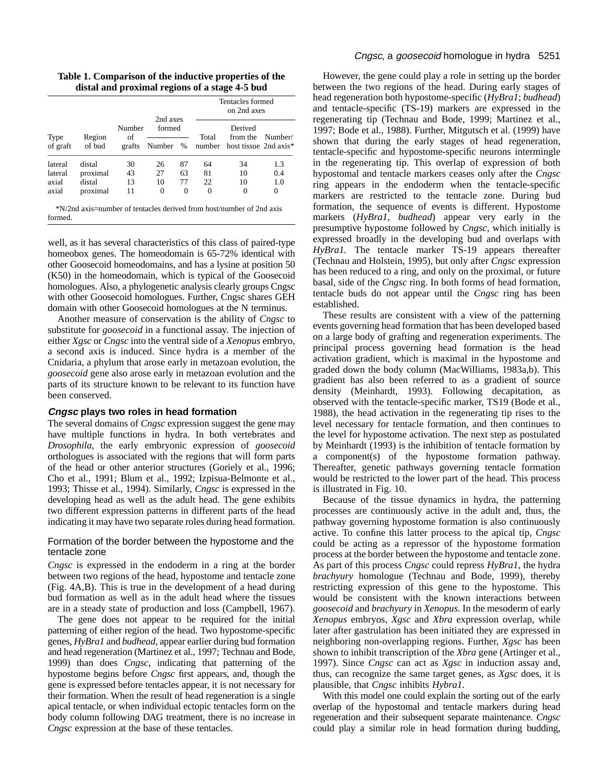**Table 1. Comparison of the inductive properties of the distal and proximal regions of a stage 4-5 bud**

|                  |                  |                        |                                      |          | Tentacles formed<br>on 2nd axes |                                              |         |  |
|------------------|------------------|------------------------|--------------------------------------|----------|---------------------------------|----------------------------------------------|---------|--|
| Type<br>of graft | Region<br>of bud | Number<br>of<br>grafts | 2nd axes<br>formed<br>$\%$<br>Number |          | Total<br>number                 | Derived<br>from the<br>host tissue 2nd axis* | Number/ |  |
| lateral          | distal           | 30                     | 26                                   | 87       | 64                              | 34                                           | 1.3     |  |
| lateral          | proximal         | 43                     | 27                                   | 63       | 81                              | 10                                           | 0.4     |  |
| axial            | distal           | 13                     | 10                                   | 77       | 22                              | 10                                           | 1.0     |  |
| axial            | proximal         | 11                     | 0                                    | $\Omega$ | 0                               | 0                                            | 0       |  |

formed.

well, as it has several characteristics of this class of paired-type homeobox genes. The homeodomain is 65-72% identical with other Goosecoid homeodomains, and has a lysine at position 50 (K50) in the homeodomain, which is typical of the Goosecoid homologues. Also, a phylogenetic analysis clearly groups Cngsc with other Goosecoid homologues. Further, Cngsc shares GEH domain with other Goosecoid homologues at the N terminus.

Another measure of conservation is the ability of *Cngsc* to substitute for *goosecoid* in a functional assay. The injection of either *Xgsc* or *Cngsc* into the ventral side of a *Xenopus* embryo, a second axis is induced. Since hydra is a member of the Cnidaria, a phylum that arose early in metazoan evolution, the *goosecoid* gene also arose early in metazoan evolution and the parts of its structure known to be relevant to its function have been conserved.

# **Cngsc plays two roles in head formation**

The several domains of *Cngsc* expression suggest the gene may have multiple functions in hydra. In both vertebrates and *Drosophila*, the early embryonic expression of *goosecoid* orthologues is associated with the regions that will form parts of the head or other anterior structures (Goriely et al., 1996; Cho et al., 1991; Blum et al., 1992; Izpisua-Belmonte et al., 1993; Thisse et al., 1994). Similarly, *Cngsc* is expressed in the developing head as well as the adult head. The gene exhibits two different expression patterns in different parts of the head indicating it may have two separate roles during head formation.

# Formation of the border between the hypostome and the tentacle zone

*Cngsc* is expressed in the endoderm in a ring at the border between two regions of the head, hypostome and tentacle zone (Fig. 4A,B). This is true in the development of a head during bud formation as well as in the adult head where the tissues are in a steady state of production and loss (Campbell, 1967).

The gene does not appear to be required for the initial patterning of either region of the head. Two hypostome-specific genes, *HyBra1* and *budhead*, appear earlier during bud formation and head regeneration (Martinez et al., 1997; Technau and Bode, 1999) than does *Cngsc*, indicating that patterning of the hypostome begins before *Cngsc* first appears, and, though the gene is expressed before tentacles appear, it is not necessary for their formation. When the result of head regeneration is a single apical tentacle, or when individual ectopic tentacles form on the body column following DAG treatment, there is no increase in *Cngsc* expression at the base of these tentacles.

However, the gene could play a role in setting up the border between the two regions of the head. During early stages of head regeneration both hypostome-specific (*HyBra1*; *budhead*) and tentacle-specific (TS-19) markers are expressed in the regenerating tip (Technau and Bode, 1999; Martinez et al., 1997; Bode et al., 1988). Further, Mitgutsch et al. (1999) have shown that during the early stages of head regeneration, tentacle-specific and hypostome-specific neurons intermingle in the regenerating tip. This overlap of expression of both hypostomal and tentacle markers ceases only after the *Cngsc* ring appears in the endoderm when the tentacle-specific markers are restricted to the tentacle zone. During bud formation, the sequence of events is different. Hypostome markers (*HyBra1*, *budhead*) appear very early in the presumptive hypostome followed by *Cngsc*, which initially is expressed broadly in the developing bud and overlaps with *HyBra1.* The tentacle marker TS-19 appears thereafter (Technau and Holstein, 1995), but only after *Cngsc* expression has been reduced to a ring, and only on the proximal, or future basal, side of the *Cngsc* ring. In both forms of head formation, tentacle buds do not appear until the *Cngsc* ring has been established.

These results are consistent with a view of the patterning events governing head formation that has been developed based on a large body of grafting and regeneration experiments. The principal process governing head formation is the head activation gradient, which is maximal in the hypostome and graded down the body column (MacWilliams, 1983a,b). This gradient has also been referred to as a gradient of source density (Meinhardt, 1993). Following decapitation, as observed with the tentacle-specific marker, TS19 (Bode et al., 1988), the head activation in the regenerating tip rises to the level necessary for tentacle formation, and then continues to the level for hypostome activation. The next step as postulated by Meinhardt (1993) is the inhibition of tentacle formation by a component(s) of the hypostome formation pathway. Thereafter, genetic pathways governing tentacle formation would be restricted to the lower part of the head. This process is illustrated in Fig. 10.

Because of the tissue dynamics in hydra, the patterning processes are continuously active in the adult and, thus, the pathway governing hypostome formation is also continuously active. To confine this latter process to the apical tip, *Cngsc* could be acting as a repressor of the hypostome formation process at the border between the hypostome and tentacle zone. As part of this process *Cngsc* could repress *HyBra1*, the hydra *brachyury* homologue (Technau and Bode, 1999), thereby restricting expression of this gene to the hypostome. This would be consistent with the known interactions between *goosecoid* and *brachyury* in *Xenopus*. In the mesoderm of early *Xenopus* embryos, *Xgsc* and *Xbra* expression overlap, while later after gastrulation has been initiated they are expressed in neighboring non-overlapping regions. Further, *Xgsc* has been shown to inhibit transcription of the *Xbra* gene (Artinger et al., 1997). Since *Cngsc* can act as *Xgsc* in induction assay and, thus, can recognize the same target genes, as *Xgsc* does, it is plausible, that *Cngsc* inhibits *Hybra1*.

With this model one could explain the sorting out of the early overlap of the hypostomal and tentacle markers during head regeneration and their subsequent separate maintenance. *Cngsc* could play a similar role in head formation during budding,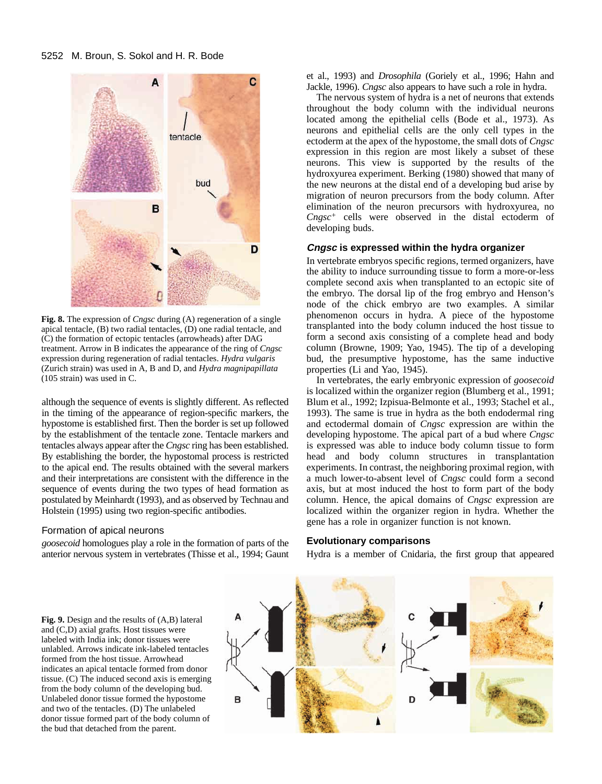

**Fig. 8.** The expression of *Cngsc* during (A) regeneration of a single apical tentacle, (B) two radial tentacles, (D) one radial tentacle, and (C) the formation of ectopic tentacles (arrowheads) after DAG treatment. Arrow in B indicates the appearance of the ring of *Cngsc* expression during regeneration of radial tentacles. *Hydra vulgaris* (Zurich strain) was used in A, B and D, and *Hydra magnipapillata* (105 strain) was used in C.

although the sequence of events is slightly different. As reflected in the timing of the appearance of region-specific markers, the hypostome is established first. Then the border is set up followed by the establishment of the tentacle zone. Tentacle markers and tentacles always appear after the *Cngsc* ring has been established. By establishing the border, the hypostomal process is restricted to the apical end. The results obtained with the several markers and their interpretations are consistent with the difference in the sequence of events during the two types of head formation as postulated by Meinhardt (1993), and as observed by Technau and Holstein (1995) using two region-specific antibodies.

#### Formation of apical neurons

*goosecoid* homologues play a role in the formation of parts of the anterior nervous system in vertebrates (Thisse et al., 1994; Gaunt et al., 1993) and *Drosophila* (Goriely et al., 1996; Hahn and Jackle, 1996). *Cngsc* also appears to have such a role in hydra.

The nervous system of hydra is a net of neurons that extends throughout the body column with the individual neurons located among the epithelial cells (Bode et al., 1973). As neurons and epithelial cells are the only cell types in the ectoderm at the apex of the hypostome, the small dots of *Cngsc* expression in this region are most likely a subset of these neurons. This view is supported by the results of the hydroxyurea experiment. Berking (1980) showed that many of the new neurons at the distal end of a developing bud arise by migration of neuron precursors from the body column. After elimination of the neuron precursors with hydroxyurea, no *Cngsc<sup>+</sup>* cells were observed in the distal ectoderm of developing buds.

# **Cngsc is expressed within the hydra organizer**

In vertebrate embryos specific regions, termed organizers, have the ability to induce surrounding tissue to form a more-or-less complete second axis when transplanted to an ectopic site of the embryo. The dorsal lip of the frog embryo and Henson's node of the chick embryo are two examples. A similar phenomenon occurs in hydra. A piece of the hypostome transplanted into the body column induced the host tissue to form a second axis consisting of a complete head and body column (Browne, 1909; Yao, 1945). The tip of a developing bud, the presumptive hypostome, has the same inductive properties (Li and Yao, 1945).

In vertebrates, the early embryonic expression of *goosecoid* is localized within the organizer region (Blumberg et al., 1991; Blum et al., 1992; Izpisua-Belmonte et al., 1993; Stachel et al., 1993). The same is true in hydra as the both endodermal ring and ectodermal domain of *Cngsc* expression are within the developing hypostome. The apical part of a bud where *Cngsc* is expressed was able to induce body column tissue to form head and body column structures in transplantation experiments. In contrast, the neighboring proximal region, with a much lower-to-absent level of *Cngsc* could form a second axis, but at most induced the host to form part of the body column. Hence, the apical domains of *Cngsc* expression are localized within the organizer region in hydra. Whether the gene has a role in organizer function is not known.

#### **Evolutionary comparisons**

Hydra is a member of Cnidaria, the first group that appeared

**Fig. 9.** Design and the results of (A,B) lateral and (C,D) axial grafts. Host tissues were labeled with India ink; donor tissues were unlabled. Arrows indicate ink-labeled tentacles formed from the host tissue. Arrowhead indicates an apical tentacle formed from donor tissue. (C) The induced second axis is emerging from the body column of the developing bud. Unlabeled donor tissue formed the hypostome and two of the tentacles. (D) The unlabeled donor tissue formed part of the body column of the bud that detached from the parent.

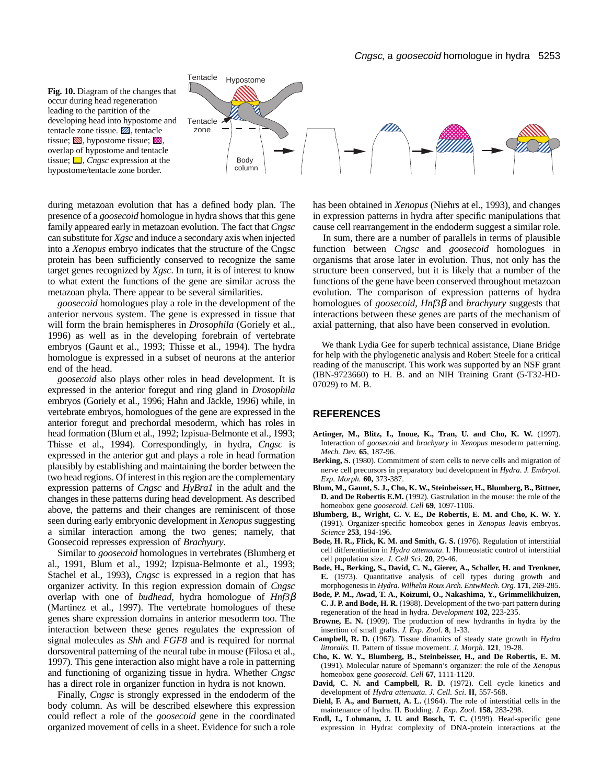



during metazoan evolution that has a defined body plan. The presence of a *goosecoid* homologue in hydra shows that this gene family appeared early in metazoan evolution. The fact that *Cngsc* can substitute for *Xgsc* and induce a secondary axis when injected into a *Xenopus* embryo indicates that the structure of the Cngsc protein has been sufficiently conserved to recognize the same target genes recognized by *Xgsc*. In turn, it is of interest to know to what extent the functions of the gene are similar across the metazoan phyla. There appear to be several similarities.

*goosecoid* homologues play a role in the development of the anterior nervous system. The gene is expressed in tissue that will form the brain hemispheres in *Drosophila* (Goriely et al., 1996) as well as in the developing forebrain of vertebrate embryos (Gaunt et al., 1993; Thisse et al., 1994). The hydra homologue is expressed in a subset of neurons at the anterior end of the head.

*goosecoid* also plays other roles in head development. It is expressed in the anterior foregut and ring gland in *Drosophila* embryos (Goriely et al., 1996; Hahn and Jäckle, 1996) while, in vertebrate embryos, homologues of the gene are expressed in the anterior foregut and prechordal mesoderm, which has roles in head formation (Blum et al., 1992; Izpisua-Belmonte et al., 1993; Thisse et al., 1994). Correspondingly, in hydra, *Cngsc* is expressed in the anterior gut and plays a role in head formation plausibly by establishing and maintaining the border between the two head regions. Of interest in this region are the complementary expression patterns of *Cngsc* and *HyBra1* in the adult and the changes in these patterns during head development. As described above, the patterns and their changes are reminiscent of those seen during early embryonic development in *Xenopus* suggesting a similar interaction among the two genes; namely, that Goosecoid represses expression of *Brachyury*.

Similar to *goosecoid* homologues in vertebrates (Blumberg et al., 1991, Blum et al., 1992; Izpisua-Belmonte et al., 1993; Stachel et al., 1993), *Cngsc* is expressed in a region that has organizer activity. In this region expression domain of *Cngsc* overlap with one of *budhead*, hydra homologue of *Hnf3*β (Martinez et al., 1997). The vertebrate homologues of these genes share expression domains in anterior mesoderm too. The interaction between these genes regulates the expression of signal molecules as *Shh* and *FGF8* and is required for normal dorsoventral patterning of the neural tube in mouse (Filosa et al., 1997). This gene interaction also might have a role in patterning and functioning of organizing tissue in hydra. Whether *Cngsc* has a direct role in organizer function in hydra is not known.

Finally, *Cngsc* is strongly expressed in the endoderm of the body column. As will be described elsewhere this expression could reflect a role of the *goosecoid* gene in the coordinated organized movement of cells in a sheet. Evidence for such a role

has been obtained in *Xenopus* (Niehrs at el., 1993), and changes in expression patterns in hydra after specific manipulations that cause cell rearrangement in the endoderm suggest a similar role.

In sum, there are a number of parallels in terms of plausible function between *Cngsc* and *goosecoid* homologues in organisms that arose later in evolution. Thus, not only has the structure been conserved, but it is likely that a number of the functions of the gene have been conserved throughout metazoan evolution. The comparison of expression patterns of hydra homologues of *goosecoid*, *Hnf3*β and *brachyury* suggests that interactions between these genes are parts of the mechanism of axial patterning, that also have been conserved in evolution.

We thank Lydia Gee for superb technical assistance, Diane Bridge for help with the phylogenetic analysis and Robert Steele for a critical reading of the manuscript. This work was supported by an NSF grant (IBN-9723660) to H. B. and an NIH Training Grant (5-T32-HD-07029) to M. B.

#### **REFERENCES**

- **Artinger, M., Blitz, I., Inoue, K., Tran, U. and Cho, K. W.** (1997). Interaction of *goosecoid* and *brachyury* in *Xenopus* mesoderm patterning. *Mech. Dev.* **65**, 187-96.
- **Berking, S.** (1980). Commitment of stem cells to nerve cells and migration of nerve cell precursors in preparatory bud development in *Hydra*. *J. Embryol. Exp. Morph.* **60,** 373-387.
- **Blum, M., Gaunt, S. J., Cho, K. W., Steinbeisser, H., Blumberg, B., Bittner, D. and De Robertis E.M.** (1992). Gastrulation in the mouse: the role of the homeobox gene *goosecoid*. *Cell* **69**, 1097-1106.
- **Blumberg, B., Wright, C. V. E., De Robertis, E. M. and Cho, K. W. Y.** (1991). Organizer-specific homeobox genes in *Xenopus leavis* embryos. *Science* **253**, 194-196.
- **Bode, H. R., Flick, K. M. and Smith, G. S.** (1976). Regulation of interstitial cell differentiation in *Hydra attenuata*. I. Homeostatic control of interstitial cell population size. *J. Cell Sci*. **20**, 29-46.
- **Bode, H., Berking, S., David, C. N., Gierer, A., Schaller, H. and Trenkner, E.** (1973). Quantitative analysis of cell types during growth and morphogenesis in *Hydra*. *Wilhelm Roux Arch. EntwMech. Org.* **171**, 269-285.
- **Bode, P. M., Awad, T. A., Koizumi, O., Nakashima, Y., Grimmelikhuizen, C. J. P. and Bode, H. R.** (1988). Development of the two-part pattern during regeneration of the head in hydra. *Development* **102**, 223-235.
- **Browne, E. N.** (1909). The production of new hydranths in hydra by the insertion of small grafts. *J. Exp. Zool*. **8**, 1-33.
- **Campbell, R. D.** (1967). Tissue dinamics of steady state growth in *Hydra littoralis.* II. Pattern of tissue movement. *J. Morph.* **121**, 19-28.
- **Cho, K. W. Y., Blumberg, B., Steinbeisser, H., and De Robertis, E. M.** (1991). Molecular nature of Spemann's organizer: the role of the *Xenopus* homeobox gene *goosecoid*. *Cell* **67**, 1111-1120.
- **David, C. N. and Campbell, R. D.** (1972). Cell cycle kinetics and development of *Hydra attenuata*. *J. Cell. Sci*. **II**, 557-568.
- **Diehl, F. A., and Burnett, A. L.** (1964). The role of interstitial cells in the maintenance of hydra. II. Budding. *J. Exp. Zool.* **158,** 283-298.
- **Endl, I., Lohmann, J. U. and Bosch, T. C.** (1999). Head-specific gene expression in Hydra: complexity of DNA-protein interactions at the